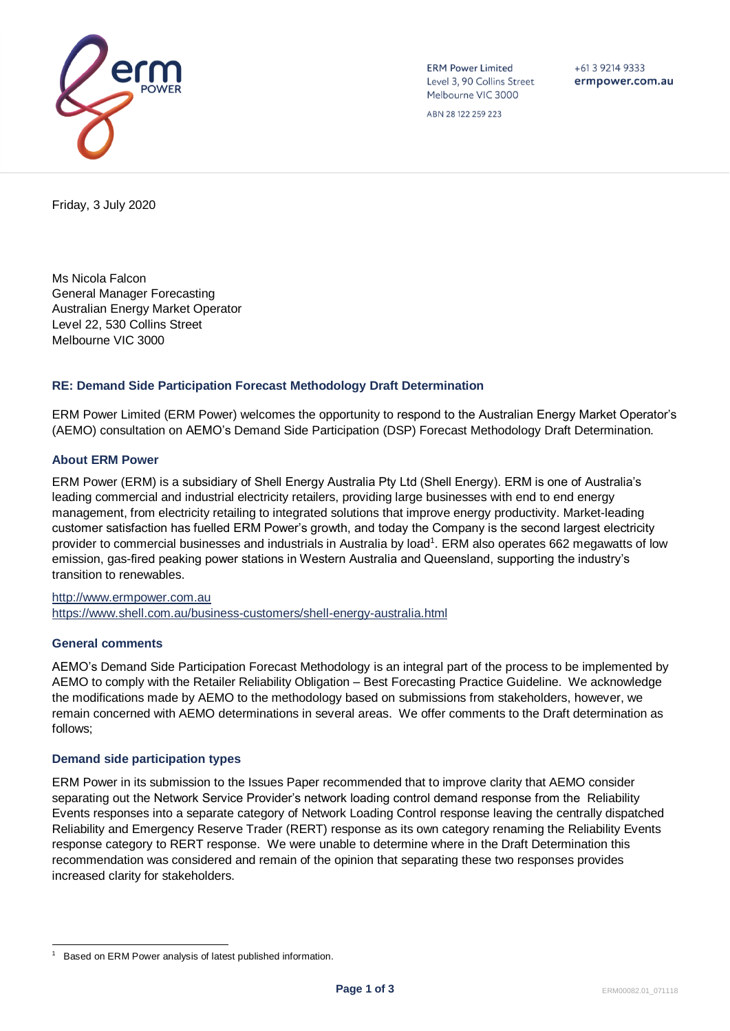

**ERM Power Limited** Level 3, 90 Collins Street Melbourne VIC 3000

+61 3 9214 9333 ermpower.com.au

ABN 28 122 259 223

Friday, 3 July 2020

Ms Nicola Falcon General Manager Forecasting Australian Energy Market Operator Level 22, 530 Collins Street Melbourne VIC 3000

## **RE: Demand Side Participation Forecast Methodology Draft Determination**

ERM Power Limited (ERM Power) welcomes the opportunity to respond to the Australian Energy Market Operator's (AEMO) consultation on AEMO's Demand Side Participation (DSP) Forecast Methodology Draft Determination.

# **About ERM Power**

ERM Power (ERM) is a subsidiary of Shell Energy Australia Pty Ltd (Shell Energy). ERM is one of Australia's leading commercial and industrial electricity retailers, providing large businesses with end to end energy management, from electricity retailing to integrated solutions that improve energy productivity. Market-leading customer satisfaction has fuelled ERM Power's growth, and today the Company is the second largest electricity provider to commercial businesses and industrials in Australia by load<sup>1</sup>. ERM also operates 662 megawatts of low emission, gas-fired peaking power stations in Western Australia and Queensland, supporting the industry's transition to renewables.

[http://www.ermpower.com.au](http://www.ermpower.com.au/) <https://www.shell.com.au/business-customers/shell-energy-australia.html>

## **General comments**

AEMO's Demand Side Participation Forecast Methodology is an integral part of the process to be implemented by AEMO to comply with the Retailer Reliability Obligation – Best Forecasting Practice Guideline. We acknowledge the modifications made by AEMO to the methodology based on submissions from stakeholders, however, we remain concerned with AEMO determinations in several areas. We offer comments to the Draft determination as follows;

## **Demand side participation types**

ERM Power in its submission to the Issues Paper recommended that to improve clarity that AEMO consider separating out the Network Service Provider's network loading control demand response from the Reliability Events responses into a separate category of Network Loading Control response leaving the centrally dispatched Reliability and Emergency Reserve Trader (RERT) response as its own category renaming the Reliability Events response category to RERT response. We were unable to determine where in the Draft Determination this recommendation was considered and remain of the opinion that separating these two responses provides increased clarity for stakeholders.

<sup>1</sup> Based on ERM Power analysis of latest published information.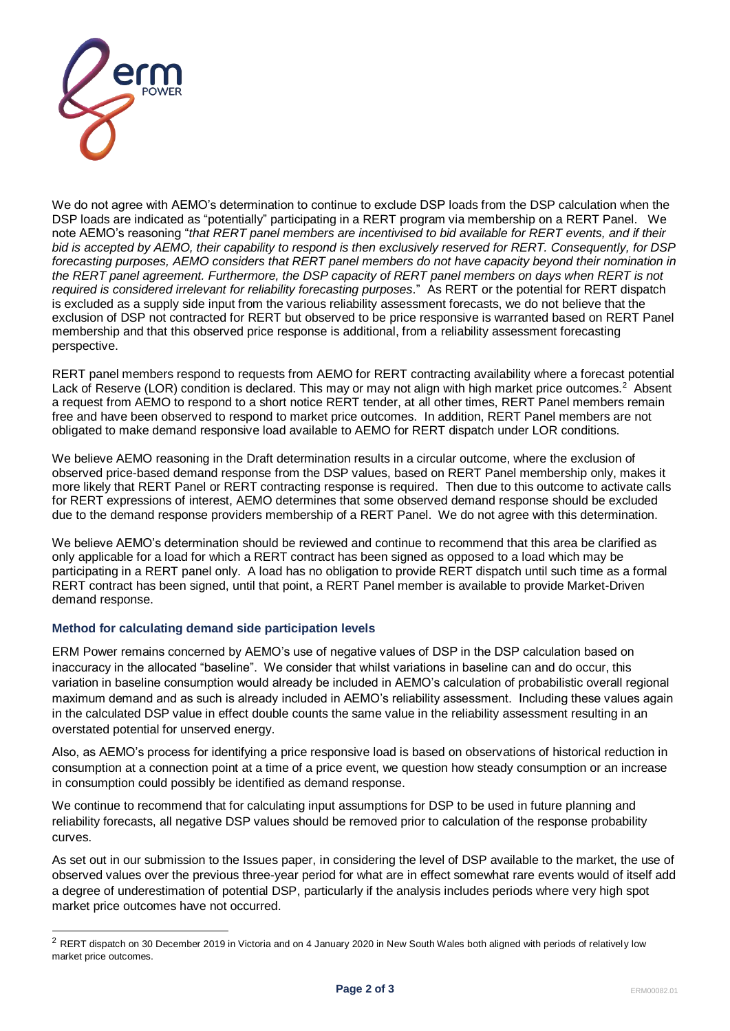

We do not agree with AEMO's determination to continue to exclude DSP loads from the DSP calculation when the DSP loads are indicated as "potentially" participating in a RERT program via membership on a RERT Panel. We note AEMO's reasoning "*that RERT panel members are incentivised to bid available for RERT events, and if their bid is accepted by AEMO, their capability to respond is then exclusively reserved for RERT. Consequently, for DSP forecasting purposes, AEMO considers that RERT panel members do not have capacity beyond their nomination in the RERT panel agreement. Furthermore, the DSP capacity of RERT panel members on days when RERT is not required is considered irrelevant for reliability forecasting purposes*." As RERT or the potential for RERT dispatch is excluded as a supply side input from the various reliability assessment forecasts, we do not believe that the exclusion of DSP not contracted for RERT but observed to be price responsive is warranted based on RERT Panel membership and that this observed price response is additional, from a reliability assessment forecasting perspective.

RERT panel members respond to requests from AEMO for RERT contracting availability where a forecast potential Lack of Reserve (LOR) condition is declared. This may or may not align with high market price outcomes.<sup>2</sup> Absent a request from AEMO to respond to a short notice RERT tender, at all other times, RERT Panel members remain free and have been observed to respond to market price outcomes. In addition, RERT Panel members are not obligated to make demand responsive load available to AEMO for RERT dispatch under LOR conditions.

We believe AEMO reasoning in the Draft determination results in a circular outcome, where the exclusion of observed price-based demand response from the DSP values, based on RERT Panel membership only, makes it more likely that RERT Panel or RERT contracting response is required. Then due to this outcome to activate calls for RERT expressions of interest, AEMO determines that some observed demand response should be excluded due to the demand response providers membership of a RERT Panel. We do not agree with this determination.

We believe AEMO's determination should be reviewed and continue to recommend that this area be clarified as only applicable for a load for which a RERT contract has been signed as opposed to a load which may be participating in a RERT panel only. A load has no obligation to provide RERT dispatch until such time as a formal RERT contract has been signed, until that point, a RERT Panel member is available to provide Market-Driven demand response.

## **Method for calculating demand side participation levels**

ERM Power remains concerned by AEMO's use of negative values of DSP in the DSP calculation based on inaccuracy in the allocated "baseline". We consider that whilst variations in baseline can and do occur, this variation in baseline consumption would already be included in AEMO's calculation of probabilistic overall regional maximum demand and as such is already included in AEMO's reliability assessment. Including these values again in the calculated DSP value in effect double counts the same value in the reliability assessment resulting in an overstated potential for unserved energy.

Also, as AEMO's process for identifying a price responsive load is based on observations of historical reduction in consumption at a connection point at a time of a price event, we question how steady consumption or an increase in consumption could possibly be identified as demand response.

We continue to recommend that for calculating input assumptions for DSP to be used in future planning and reliability forecasts, all negative DSP values should be removed prior to calculation of the response probability curves.

As set out in our submission to the Issues paper, in considering the level of DSP available to the market, the use of observed values over the previous three-year period for what are in effect somewhat rare events would of itself add a degree of underestimation of potential DSP, particularly if the analysis includes periods where very high spot market price outcomes have not occurred.

 $2$  RERT dispatch on 30 December 2019 in Victoria and on 4 January 2020 in New South Wales both aligned with periods of relatively low market price outcomes.